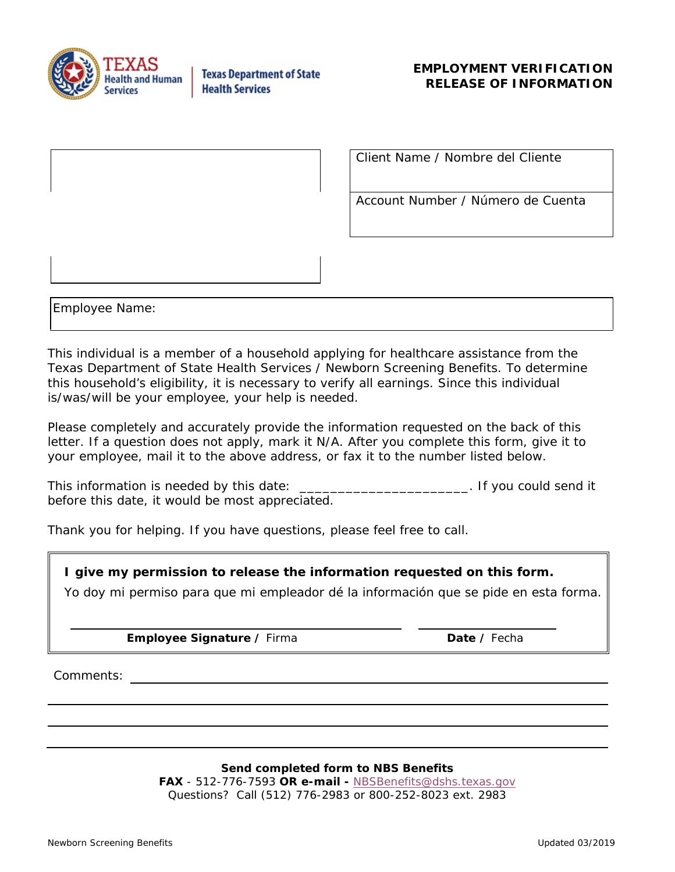

**Texas Department of State Health Services** 

Client Name / Nombre del Cliente

Account Number / Número de Cuenta

Employee Name:

This individual is a member of a household applying for healthcare assistance from the Texas Department of State Health Services / Newborn Screening Benefits. To determine this household's eligibility, it is necessary to verify all earnings. Since this individual is/was/will be your employee, your help is needed.

Please completely and accurately provide the information requested on the back of this letter. If a question does not apply, mark it N/A. After you complete this form, give it to your employee, mail it to the above address, or fax it to the number listed below.

This information is needed by this date: \_\_\_\_\_\_\_\_\_\_\_\_\_\_\_\_\_\_\_\_\_\_\_\_\_. If you could send it before this date, it would be most appreciated.

Thank you for helping. If you have questions, please feel free to call.

## **I give my permission to release the information requested on this form.**

Yo doy mi permiso para que mi empleador dé la información que se pide en esta forma.

**Employee Signature / Firma <b>Date** / Fecha

Comments:

**Send completed form to NBS Benefits** 

**FAX** - 512-776-7593 *OR* **e-mail -** [NBSBenefits@dshs.texas.gov](mailto:NBSBenefits@dshs.texas.gov?subject=Newborn%20Screening%20Program%20Benefits) Questions? Call (512) 776-2983 or 800-252-8023 ext. 2983